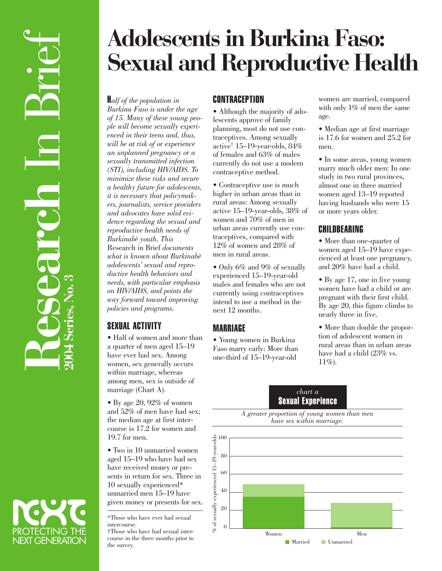# **Adolescents in Burkina Faso: Sexual and Reproductive Health**

H*alf of the population in Burkina Faso is under the age of 15. Many of these young people will become sexually experienced in their teens and, thus, will be at risk of or experience an unplanned pregnancy or a sexually transmitted infection (STI), including HIV/AIDS. To minimize these risks and secure a healthy future for adolescents, it is necessary that policymakers, journalists, service providers and advocates have solid evidence regarding the sexual and reproductive health needs of Burkinabè youth. This* Research in Brief *documents what is known about Burkinabè adolescents' sexual and reproductive health behaviors and needs, with particular emphasis on HIV/AIDS, and points the way forward toward improving policies and programs.*

# SEXUAL ACTIVITY

• Half of women and more than a quarter of men aged 15–19 have ever had sex. Among women, sex generally occurs within marriage, whereas among men, sex is outside of marriage (Chart A).

• By age 20, 92% of women and 52% of men have had sex; the median age at first intercourse is 17.2 for women and 19.7 for men.

• Two in 10 unmarried women aged 15–19 who have had sex have received money or presents in return for sex. Three in 10 sexually experienced\* unmarried men 15–19 have given money or presents for sex.

\*Those who have ever had sexual intercourse. †Those who have had sexual intercourse in the three months prior to the survey.

# **CONTRACEPTION**

• Although the majority of adolescents approve of family planning, most do not use contraceptives. Among sexually active† 15–19-year-olds, 84% of females and 63% of males currently do not use a modern contraceptive method.

• Contraceptive use is much higher in urban areas than in rural areas: Among sexually active 15–19-year-olds, 38% of women and 70% of men in urban areas currently use contraceptives, compared with 12% of women and 28% of men in rural areas.

• Only 6% and 9% of sexually experienced 15–19-year-old males and females who are not currently using contraceptives intend to use a method in the next 12 months.

# **MARRIAGF**

• Young women in Burkina Faso marry early: More than one-third of 15–19-year-old

women are married, compared with only 1% of men the same age.

• Median age at first marriage is 17.6 for women and 25.2 for men.

• In some areas, young women marry much older men: In one study in two rural provinces, almost one in three married women aged 13–19 reported having husbands who were 15 or more years older.

# CHILDBEARING

• More than one-quarter of women aged 15–19 have experienced at least one pregnancy, and 20% have had a child.

• By age 17, one in five young women have had a child or are pregnant with their first child. By age 20, this figure climbs to nearly three in five.

• More than double the proportion of adolescent women in rural areas than in urban areas have had a child (23% vs.  $11\%$ ).

#### *chart a* Sexual Experience





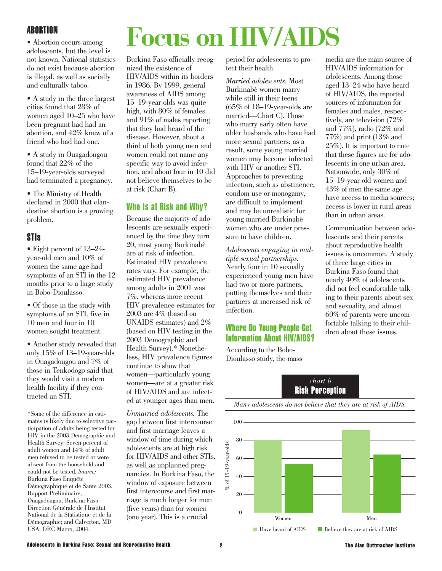# ABORTION

• Abortion occurs among adolescents, but the level is not known. National statistics do not exist because abortion is illegal, as well as socially and culturally taboo.

• A study in the three largest cities found that 28% of women aged 10–25 who have been pregnant had had an abortion, and 42% knew of a friend who had had one.

• A study in Ouagadougou found that 22% of the 15–19-year-olds surveyed had terminated a pregnancy.

• The Ministry of Health declared in 2000 that clandestine abortion is a growing problem.

#### STIs

• Eight percent of 13–24 year-old men and 10% of women the same age had symptoms of an STI in the 12 months prior to a large study in Bobo-Dioulasso.

• Of those in the study with symptoms of an STI, five in 10 men and four in 10 women sought treatment.

• Another study revealed that only 15% of 13–19-year-olds in Ouagadougou and 7% of those in Tenkodogo said that they would visit a modern health facility if they contracted an STI.

\*Some of the difference in estimates is likely due to selective participation of adults being tested for HIV in the 2003 Demographic and Health Survey: Seven percent of adult women and 14% of adult men refused to be tested or were absent from the household and could not be tested. *Source:* Burkina Faso Enquête Démographique et de Sante 2003, Rapport Préliminaire, Ouagadougou, Burkina Faso: Direction Générale de l'Institut National de la Statistique et de la Démographie; and Calverton, MD USA: ORC Macro, 2004.

# **Focus on HIV/AIDS**

Burkina Faso officially recognized the existence of HIV/AIDS within its borders in 1986. By 1999, general awareness of AIDS among 15–19-year-olds was quite high, with 80% of females and 91% of males reporting that they had heard of the disease. However, about a third of both young men and women could not name any specific way to avoid infection, and about four in 10 did not believe themselves to be at risk (Chart B).

#### Who Is at Risk and Why?

Because the majority of adolescents are sexually experienced by the time they turn 20, most young Burkinabè are at risk of infection. Estimated HIV prevalence rates vary. For example, the estimated HIV prevalence among adults in 2001 was 7%, whereas more recent HIV prevalence estimates for 2003 are 4% (based on UNAIDS estimates) and 2% (based on HIV testing in the 2003 Demographic and Health Survey).\* Nonetheless, HIV prevalence figures continue to show that women—particularly young women—are at a greater risk of HIV/AIDS and are infected at younger ages than men.

*Unmarried adolescents.* The gap between first intercourse and first marriage leaves a window of time during which adolescents are at high risk for HIV/AIDS and other STIs, as well as unplanned pregnancies. In Burkina Faso, the window of exposure between first intercourse and first marriage is much longer for men (five years) than for women (one year). This is a crucial

period for adolescents to protect their health.

*Married adolescents.* Most Burkinabè women marry while still in their teens (65% of 18–19-year-olds are married—Chart C). Those who marry early often have older husbands who have had more sexual partners; as a result, some young married women may become infected with HIV or another STI. Approaches to preventing infection, such as abstinence, condom use or monogamy, are difficult to implement and may be unrealistic for young married Burkinabè women who are under pressure to have children.

*Adolescents engaging in multiple sexual partnerships.* Nearly four in 10 sexually experienced young men have had two or more partners, putting themselves and their partners at increased risk of infection.

### Where Do Young People Get Information About HIV/AIDS?

According to the Bobo-Dioulasso study, the mass media are the main source of HIV/AIDS information for adolescents. Among those aged 13–24 who have heard of HIV/AIDS, the reported sources of information for females and males, respectively, are television (72% and 77%), radio (72% and 77%) and print (13% and 25%). It is important to note that these figures are for adolescents in one urban area. Nationwide, only 30% of 15–19-year-old women and 43% of men the same age have access to media sources; access is lower in rural areas than in urban areas.

Communication between adolescents and their parents about reproductive health issues is uncommon. A study of three large cities in Burkina Faso found that nearly 40% of adolescents did not feel comfortable talking to their parents about sex and sexuality, and almost 60% of parents were uncomfortable talking to their children about these issues.

#### *chart b* Risk Perception

100 80  $% of 15-19-year-olds$  $\%$  of 15–19-year-olds 60 40  $20$ 0 Women Men ■ Have heard of AIDS ■ Believe they are at risk of AIDS

*Many adolescents do not believe that they are at risk of AIDS.*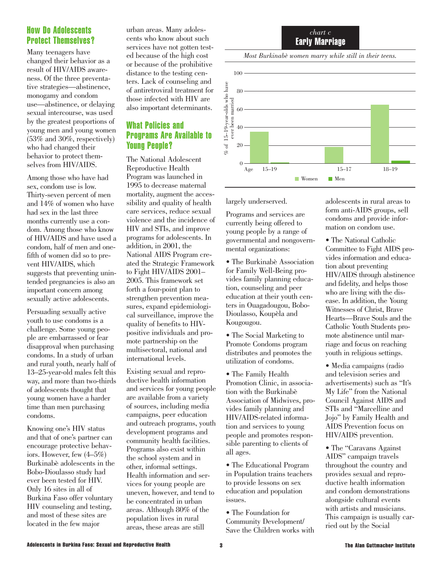#### How Do Adolescents Protect Themselves?

Many teenagers have changed their behavior as a result of HIV/AIDS awareness. Of the three preventative strategies—abstinence, monogamy and condom use—abstinence, or delaying sexual intercourse, was used by the greatest proportions of young men and young women (53% and 30%, respectively) who had changed their behavior to protect themselves from HIV/AIDS.

Among those who have had sex, condom use is low. Thirty-seven percent of men and 14% of women who have had sex in the last three months currently use a condom. Among those who know of HIV/AIDS and have used a condom, half of men and onefifth of women did so to prevent HIV/AIDS, which suggests that preventing unintended pregnancies is also an important concern among sexually active adolescents.

Persuading sexually active youth to use condoms is a challenge. Some young people are embarrassed or fear disapproval when purchasing condoms. In a study of urban and rural youth, nearly half of 13–25-year-old males felt this way, and more than two-thirds of adolescents thought that young women have a harder time than men purchasing condoms.

Knowing one's HIV status and that of one's partner can encourage protective behaviors. However, few (4–5%) Burkinabè adolescents in the Bobo-Dioulasso study had ever been tested for HIV. Only 16 sites in all of Burkina Faso offer voluntary HIV counseling and testing, and most of these sites are located in the few major

urban areas. Many adolescents who know about such services have not gotten tested because of the high cost or because of the prohibitive distance to the testing centers. Lack of counseling and of antiretroviral treatment for those infected with HIV are also important determinants.

# What Policies and Programs Are Available to Young People?

The National Adolescent Reproductive Health Program was launched in 1995 to decrease maternal mortality, augment the accessibility and quality of health care services, reduce sexual violence and the incidence of HIV and STIs, and improve programs for adolescents. In addition, in 2001, the National AIDS Program created the Strategic Framework to Fight HIV/AIDS 2001– 2005. This framework set forth a four-point plan to strengthen prevention measures, expand epidemiological surveillance, improve the quality of benefits to HIVpositive individuals and promote partnership on the multisectoral, national and international levels.

Existing sexual and reproductive health information and services for young people are available from a variety of sources, including media campaigns, peer education and outreach programs, youth development programs and community health facilities. Programs also exist within the school system and in other, informal settings. Health information and services for young people are uneven, however, and tend to be concentrated in urban areas. Although 80% of the population lives in rural areas, these areas are still



*Most Burkinabè women marry while still in their teens.* 



largely underserved.

Programs and services are currently being offered to young people by a range of governmental and nongovernmental organizations:

• The Burkinabè Association for Family Well-Being provides family planning education, counseling and peer education at their youth centers in Ouagadougou, Bobo-Dioulasso, Koupèla and Kougougou.

• The Social Marketing to Promote Condoms program distributes and promotes the utilization of condoms.

• The Family Health Promotion Clinic, in association with the Burkinabè Association of Midwives, provides family planning and HIV/AIDS-related information and services to young people and promotes responsible parenting to clients of all ages.

• The Educational Program in Population trains teachers to provide lessons on sex education and population issues.

• The Foundation for Community Development/ Save the Children works with adolescents in rural areas to form anti-AIDS groups, sell condoms and provide information on condom use.

• The National Catholic Committee to Fight AIDS provides information and education about preventing HIV/AIDS through abstinence and fidelity, and helps those who are living with the disease. In addition, the Young Witnesses of Christ, Brave Hearts—Brave Souls and the Catholic Youth Students promote abstinence until marriage and focus on reaching youth in religious settings.

• Media campaigns (radio and television series and advertisements) such as "It's My Life" from the National Council Against AIDS and STIs and "Marcelline and Jojo" by Family Health and AIDS Prevention focus on HIV/AIDS prevention.

• The "Caravans Against AIDS" campaign travels throughout the country and provides sexual and reproductive health information and condom demonstrations alongside cultural events with artists and musicians. This campaign is usually carried out by the Social